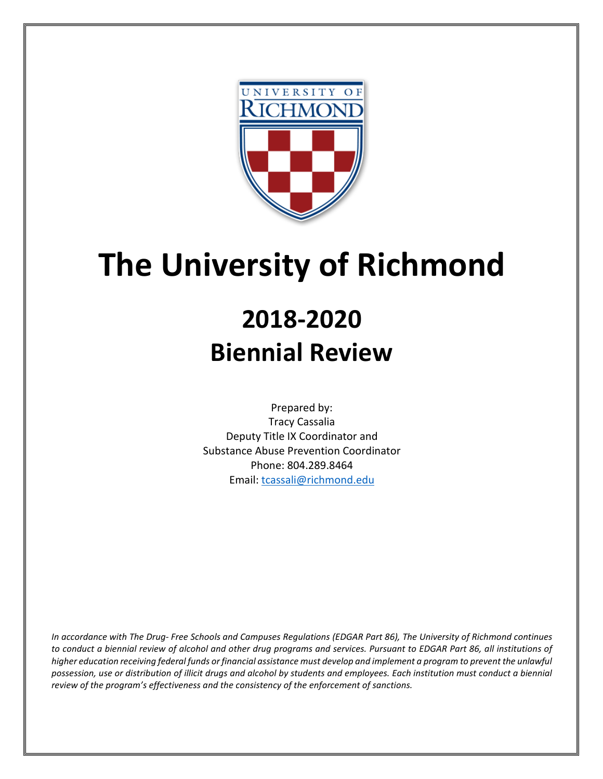

# **The University of Richmond**

## **2018-2020 Biennial Review**

Prepared by: Tracy Cassalia Deputy Title IX Coordinator and Substance Abuse Prevention Coordinator Phone: 804.289.8464 Email: [tcassali@richmond.edu](mailto:tcassali@richmond.edu)

*In accordance with The Drug- Free Schools and Campuses Regulations (EDGAR Part 86), The University of Richmond continues to conduct a biennial review of alcohol and other drug programs and services. Pursuant to EDGAR Part 86, all institutions of higher education receiving federal funds or financial assistance must develop and implement a program to prevent the unlawful possession, use or distribution of illicit drugs and alcohol by students and employees. Each institution must conduct a biennial review of the program's effectiveness and the consistency of the enforcement of sanctions.*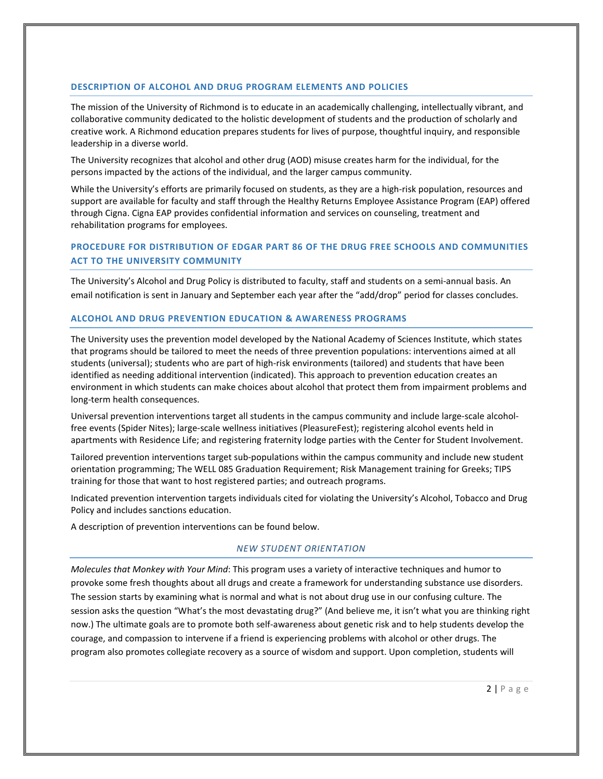#### **DESCRIPTION OF ALCOHOL AND DRUG PROGRAM ELEMENTS AND POLICIES**

The mission of the University of Richmond is to educate in an academically challenging, intellectually vibrant, and collaborative community dedicated to the holistic development of students and the production of scholarly and creative work. A Richmond education prepares students for lives of purpose, thoughtful inquiry, and responsible leadership in a diverse world.

The University recognizes that alcohol and other drug (AOD) misuse creates harm for the individual, for the persons impacted by the actions of the individual, and the larger campus community.

While the University's efforts are primarily focused on students, as they are a high-risk population, resources and support are available for faculty and staff through the Healthy Returns Employee Assistance Program (EAP) offered through Cigna. Cigna EAP provides confidential information and services on counseling, treatment and rehabilitation programs for employees.

## **PROCEDURE FOR DISTRIBUTION OF EDGAR PART 86 OF THE DRUG FREE SCHOOLS AND COMMUNITIES ACT TO THE UNIVERSITY COMMUNITY**

The University's Alcohol and Drug Policy is distributed to faculty, staff and students on a semi-annual basis. An email notification is sent in January and September each year after the "add/drop" period for classes concludes.

#### **ALCOHOL AND DRUG PREVENTION EDUCATION & AWARENESS PROGRAMS**

The University uses the prevention model developed by the National Academy of Sciences Institute, which states that programs should be tailored to meet the needs of three prevention populations: interventions aimed at all students (universal); students who are part of high-risk environments (tailored) and students that have been identified as needing additional intervention (indicated). This approach to prevention education creates an environment in which students can make choices about alcohol that protect them from impairment problems and long-term health consequences.

Universal prevention interventions target all students in the campus community and include large-scale alcoholfree events (Spider Nites); large-scale wellness initiatives (PleasureFest); registering alcohol events held in apartments with Residence Life; and registering fraternity lodge parties with the Center for Student Involvement.

Tailored prevention interventions target sub-populations within the campus community and include new student orientation programming; The WELL 085 Graduation Requirement; Risk Management training for Greeks; TIPS training for those that want to host registered parties; and outreach programs.

Indicated prevention intervention targets individuals cited for violating the University's Alcohol, Tobacco and Drug Policy and includes sanctions education.

A description of prevention interventions can be found below.

#### *NEW STUDENT ORIENTATION*

*Molecules that Monkey with Your Mind*: This program uses a variety of interactive techniques and humor to provoke some fresh thoughts about all drugs and create a framework for understanding substance use disorders. The session starts by examining what is normal and what is not about drug use in our confusing culture. The session asks the question "What's the most devastating drug?" (And believe me, it isn't what you are thinking right now.) The ultimate goals are to promote both self-awareness about genetic risk and to help students develop the courage, and compassion to intervene if a friend is experiencing problems with alcohol or other drugs. The program also promotes collegiate recovery as a source of wisdom and support. Upon completion, students will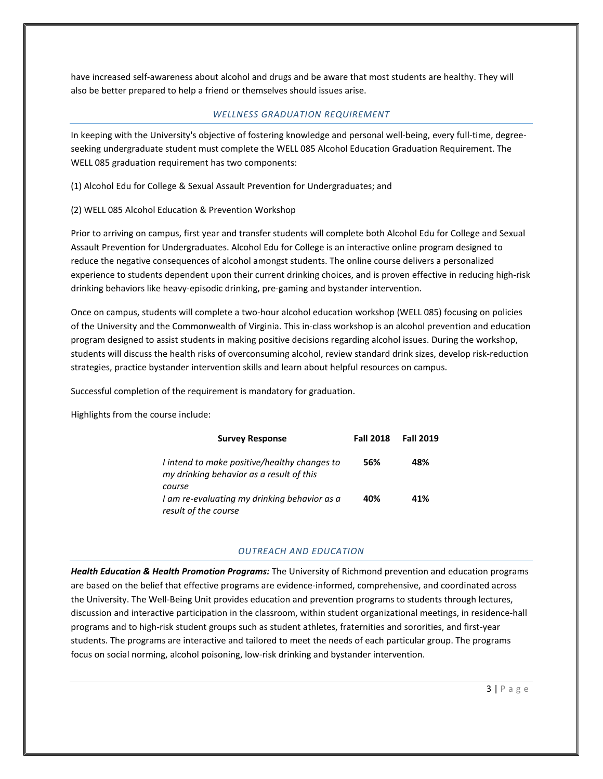have increased self-awareness about alcohol and drugs and be aware that most students are healthy. They will also be better prepared to help a friend or themselves should issues arise.

#### *WELLNESS GRADUATION REQUIREMENT*

In keeping with the University's objective of fostering knowledge and personal well-being, every full-time, degreeseeking undergraduate student must complete the WELL 085 Alcohol Education Graduation Requirement. The WELL 085 graduation requirement has two components:

(1) Alcohol Edu for College & Sexual Assault Prevention for Undergraduates; and

#### (2) WELL 085 Alcohol Education & Prevention Workshop

Prior to arriving on campus, first year and transfer students will complete both Alcohol Edu for College and Sexual Assault Prevention for Undergraduates. Alcohol Edu for College is an interactive online program designed to reduce the negative consequences of alcohol amongst students. The online course delivers a personalized experience to students dependent upon their current drinking choices, and is proven effective in reducing high-risk drinking behaviors like heavy-episodic drinking, pre-gaming and bystander intervention.

Once on campus, students will complete a two-hour alcohol education workshop (WELL 085) focusing on policies of the University and the Commonwealth of Virginia. This in-class workshop is an alcohol prevention and education program designed to assist students in making positive decisions regarding alcohol issues. During the workshop, students will discuss the health risks of overconsuming alcohol, review standard drink sizes, develop risk-reduction strategies, practice bystander intervention skills and learn about helpful resources on campus.

Successful completion of the requirement is mandatory for graduation.

Highlights from the course include:

| <b>Survey Response</b>                                                                   | <b>Fall 2018</b> | <b>Fall 2019</b> |
|------------------------------------------------------------------------------------------|------------------|------------------|
| I intend to make positive/healthy changes to<br>my drinking behavior as a result of this | 56%              | 48%              |
| course<br>I am re-evaluating my drinking behavior as a                                   | 40%              | 41%              |
| result of the course                                                                     |                  |                  |

#### *OUTREACH AND EDUCATION*

*Health Education & Health Promotion Programs:* The University of Richmond prevention and education programs are based on the belief that effective programs are evidence-informed, comprehensive, and coordinated across the University. The Well-Being Unit provides education and prevention programs to students through lectures, discussion and interactive participation in the classroom, within student organizational meetings, in residence-hall programs and to high-risk student groups such as student athletes, fraternities and sororities, and first-year students. The programs are interactive and tailored to meet the needs of each particular group. The programs focus on social norming, alcohol poisoning, low-risk drinking and bystander intervention.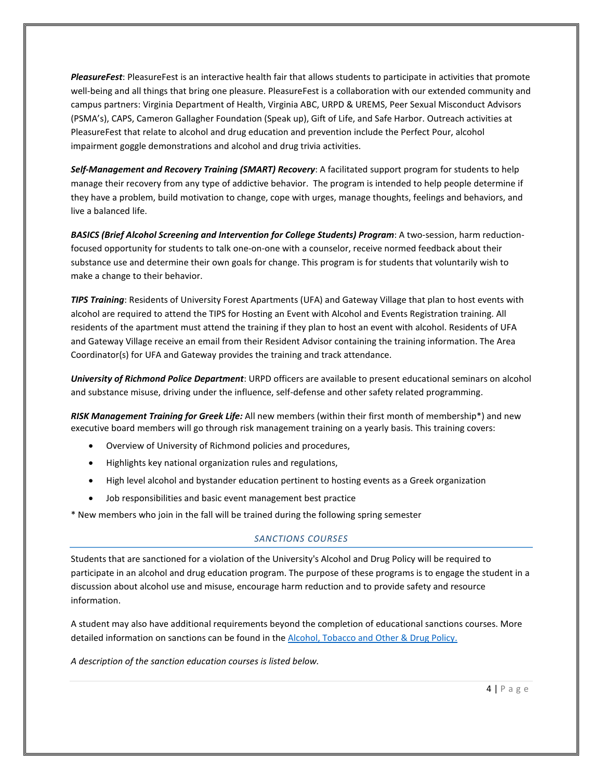*PleasureFest*: PleasureFest is an interactive health fair that allows students to participate in activities that promote well-being and all things that bring one pleasure. PleasureFest is a collaboration with our extended community and campus partners: Virginia Department of Health, Virginia ABC, URPD & UREMS, Peer Sexual Misconduct Advisors (PSMA's), CAPS, Cameron Gallagher Foundation (Speak up), Gift of Life, and Safe Harbor. Outreach activities at PleasureFest that relate to alcohol and drug education and prevention include the Perfect Pour, alcohol impairment goggle demonstrations and alcohol and drug trivia activities.

*Self-Management and Recovery Training (SMART) Recovery*: A facilitated support program for students to help manage their recovery from any type of addictive behavior. The program is intended to help people determine if they have a problem, build motivation to change, cope with urges, manage thoughts, feelings and behaviors, and live a balanced life.

*BASICS (Brief Alcohol Screening and Intervention for College Students) Program*: A two-session, harm reductionfocused opportunity for students to talk one-on-one with a counselor, receive normed feedback about their substance use and determine their own goals for change. This program is for students that voluntarily wish to make a change to their behavior.

*TIPS Training*: Residents of University Forest Apartments (UFA) and Gateway Village that plan to host events with alcohol are required to attend the TIPS for Hosting an Event with Alcohol and Events Registration training. All residents of the apartment must attend the training if they plan to host an event with alcohol. Residents of UFA and Gateway Village receive an email from their Resident Advisor containing the training information. The Area Coordinator(s) for UFA and Gateway provides the training and track attendance.

*University of Richmond Police Department*: URPD officers are available to present educational seminars on alcohol and substance misuse, driving under the influence, self-defense and other safety related programming.

*RISK Management Training for Greek Life:* All new members (within their first month of membership\*) and new executive board members will go through risk management training on a yearly basis. This training covers:

- Overview of University of Richmond policies and procedures,
- Highlights key national organization rules and regulations,
- High level alcohol and bystander education pertinent to hosting events as a Greek organization
- Job responsibilities and basic event management best practice

\* New members who join in the fall will be trained during the following spring semester

#### *SANCTIONS COURSES*

Students that are sanctioned for a violation of the University's Alcohol and Drug Policy will be required to participate in an alcohol and drug education program. The purpose of these programs is to engage the student in a discussion about alcohol use and misuse, encourage harm reduction and to provide safety and resource information.

A student may also have additional requirements beyond the completion of educational sanctions courses. More detailed information on sanctions can be found in th[e Alcohol, Tobacco and Other](https://policy.richmond.edu/documents/policy-pdfs/Public/Student-Development/alcohol_and_drug_policy.pdf) & Drug Policy.

*A description of the sanction education courses is listed below.*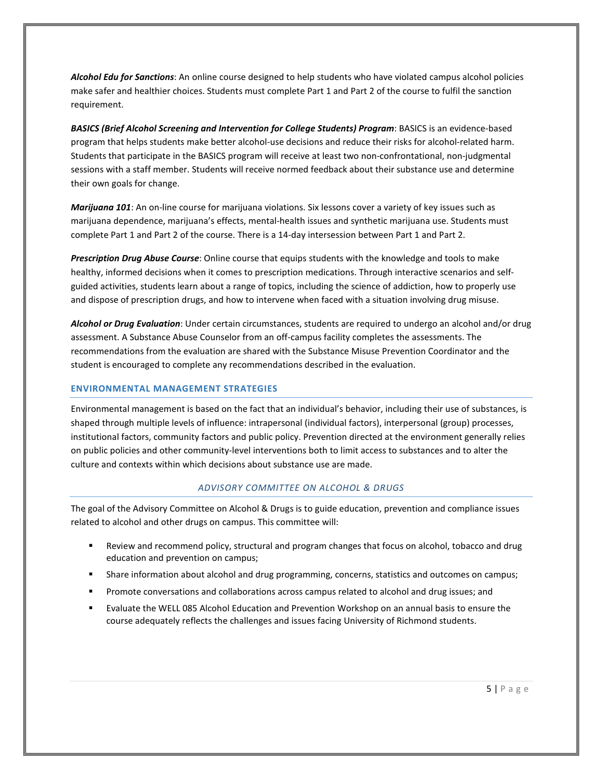*Alcohol Edu for Sanctions*: An online course designed to help students who have violated campus alcohol policies make safer and healthier choices. Students must complete Part 1 and Part 2 of the course to fulfil the sanction requirement.

*BASICS (Brief Alcohol Screening and Intervention for College Students) Program*: BASICS is an evidence-based program that helps students make better alcohol-use decisions and reduce their risks for alcohol-related harm. Students that participate in the BASICS program will receive at least two non-confrontational, non-judgmental sessions with a staff member. Students will receive normed feedback about their substance use and determine their own goals for change.

*Marijuana 101*: An on-line course for marijuana violations. Six lessons cover a variety of key issues such as marijuana dependence, marijuana's effects, mental-health issues and synthetic marijuana use. Students must complete Part 1 and Part 2 of the course. There is a 14-day intersession between Part 1 and Part 2.

*Prescription Drug Abuse Course*: Online course that equips students with the knowledge and tools to make healthy, informed decisions when it comes to prescription medications. Through interactive scenarios and selfguided activities, students learn about a range of topics, including the science of addiction, how to properly use and dispose of prescription drugs, and how to intervene when faced with a situation involving drug misuse.

*Alcohol or Drug Evaluation*: Under certain circumstances, students are required to undergo an alcohol and/or drug assessment. A Substance Abuse Counselor from an off-campus facility completes the assessments. The recommendations from the evaluation are shared with the Substance Misuse Prevention Coordinator and the student is encouraged to complete any recommendations described in the evaluation.

#### **ENVIRONMENTAL MANAGEMENT STRATEGIES**

Environmental management is based on the fact that an individual's behavior, including their use of substances, is shaped through multiple levels of influence: intrapersonal (individual factors), interpersonal (group) processes, institutional factors, community factors and public policy. Prevention directed at the environment generally relies on public policies and other community-level interventions both to limit access to substances and to alter the culture and contexts within which decisions about substance use are made.

#### *ADVISORY COMMITTEE ON ALCOHOL & DRUGS*

The goal of the Advisory Committee on Alcohol & Drugs is to guide education, prevention and compliance issues related to alcohol and other drugs on campus. This committee will:

- Review and recommend policy, structural and program changes that focus on alcohol, tobacco and drug education and prevention on campus;
- **Share information about alcohol and drug programming, concerns, statistics and outcomes on campus;**
- Promote conversations and collaborations across campus related to alcohol and drug issues; and
- Evaluate the WELL 085 Alcohol Education and Prevention Workshop on an annual basis to ensure the course adequately reflects the challenges and issues facing University of Richmond students.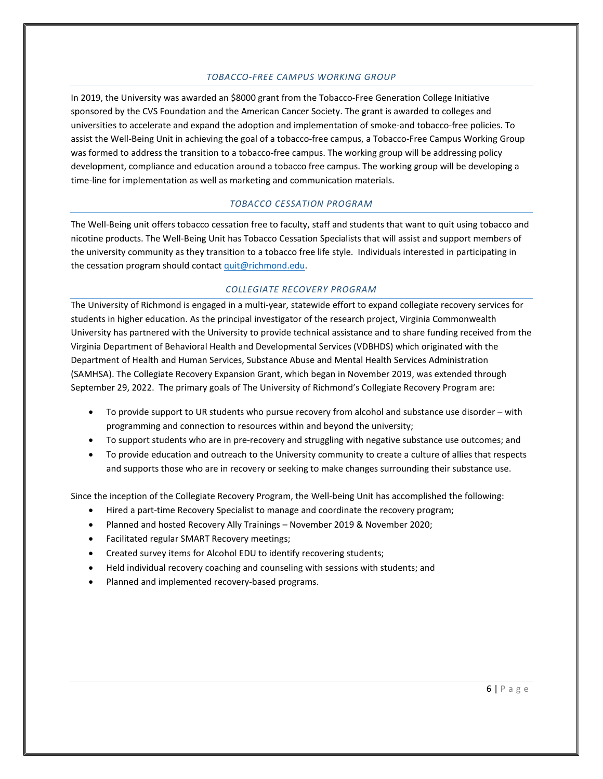#### *TOBACCO-FREE CAMPUS WORKING GROUP*

In 2019, the University was awarded an \$8000 grant from the Tobacco-Free Generation College Initiative sponsored by the CVS Foundation and the American Cancer Society. The grant is awarded to colleges and universities to accelerate and expand the adoption and implementation of smoke-and tobacco-free policies. To assist the Well-Being Unit in achieving the goal of a tobacco-free campus, a Tobacco-Free Campus Working Group was formed to address the transition to a tobacco-free campus. The working group will be addressing policy development, compliance and education around a tobacco free campus. The working group will be developing a time-line for implementation as well as marketing and communication materials.

## *TOBACCO CESSATION PROGRAM*

The Well-Being unit offers tobacco cessation free to faculty, staff and students that want to quit using tobacco and nicotine products. The Well-Being Unit has Tobacco Cessation Specialists that will assist and support members of the university community as they transition to a tobacco free life style. Individuals interested in participating in the cessation program should contac[t quit@richmond.edu.](mailto:quit@richmond.edu)

#### *COLLEGIATE RECOVERY PROGRAM*

The University of Richmond is engaged in a multi-year, statewide effort to expand collegiate recovery services for students in higher education. As the principal investigator of the research project, Virginia Commonwealth University has partnered with the University to provide technical assistance and to share funding received from the Virginia Department of Behavioral Health and Developmental Services (VDBHDS) which originated with the Department of Health and Human Services, Substance Abuse and Mental Health Services Administration (SAMHSA). The Collegiate Recovery Expansion Grant, which began in November 2019, was extended through September 29, 2022. The primary goals of The University of Richmond's Collegiate Recovery Program are:

- To provide support to UR students who pursue recovery from alcohol and substance use disorder with programming and connection to resources within and beyond the university;
- To support students who are in pre-recovery and struggling with negative substance use outcomes; and
- To provide education and outreach to the University community to create a culture of allies that respects and supports those who are in recovery or seeking to make changes surrounding their substance use.

Since the inception of the Collegiate Recovery Program, the Well-being Unit has accomplished the following:

- Hired a part-time Recovery Specialist to manage and coordinate the recovery program;
- Planned and hosted Recovery Ally Trainings November 2019 & November 2020;
- Facilitated regular SMART Recovery meetings;
- Created survey items for Alcohol EDU to identify recovering students;
- Held individual recovery coaching and counseling with sessions with students; and
- Planned and implemented recovery-based programs.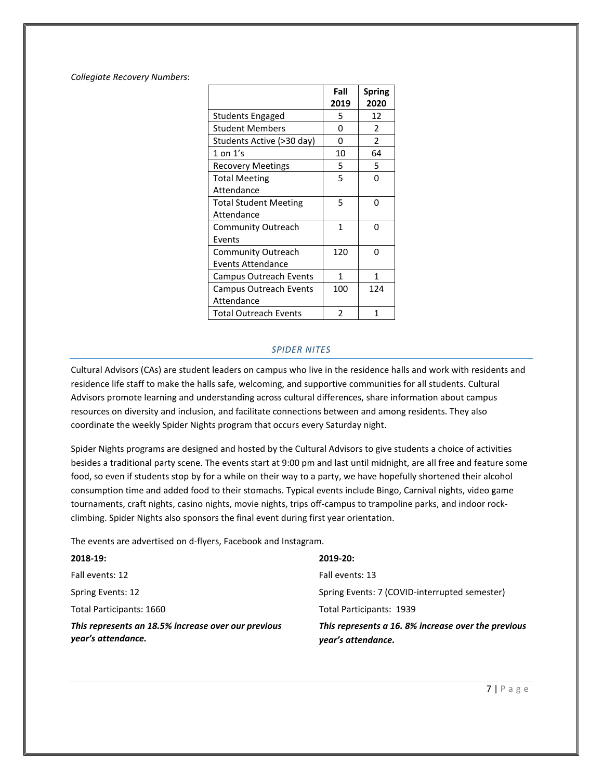*Collegiate Recovery Numbers*:

|                               | Fall | <b>Spring</b>  |
|-------------------------------|------|----------------|
|                               | 2019 | 2020           |
| <b>Students Engaged</b>       | 5    | 12             |
| <b>Student Members</b>        | 0    | 2              |
| Students Active (>30 day)     | 0    | $\overline{2}$ |
| $1$ on $1's$                  | 10   | 64             |
| <b>Recovery Meetings</b>      | 5    | 5              |
| <b>Total Meeting</b>          | 5    | O              |
| Attendance                    |      |                |
| <b>Total Student Meeting</b>  | 5    | n              |
| Attendance                    |      |                |
| <b>Community Outreach</b>     | 1    | n              |
| Events                        |      |                |
| Community Outreach            | 120  | n              |
| Events Attendance             |      |                |
| <b>Campus Outreach Events</b> | 1    | 1              |
| <b>Campus Outreach Events</b> | 100  | 124            |
| Attendance                    |      |                |
| Total Outreach Events         | 2    | 1              |

#### *SPIDER NITES*

Cultural Advisors (CAs) are student leaders on campus who live in the residence halls and work with residents and residence life staff to make the halls safe, welcoming, and supportive communities for all students. Cultural Advisors promote learning and understanding across cultural differences, share information about campus resources on diversity and inclusion, and facilitate connections between and among residents. They also coordinate the weekly Spider Nights program that occurs every Saturday night.

Spider Nights programs are designed and hosted by the Cultural Advisors to give students a choice of activities besides a traditional party scene. The events start at 9:00 pm and last until midnight, are all free and feature some food, so even if students stop by for a while on their way to a party, we have hopefully shortened their alcohol consumption time and added food to their stomachs. Typical events include Bingo, Carnival nights, video game tournaments, craft nights, casino nights, movie nights, trips off-campus to trampoline parks, and indoor rockclimbing. Spider Nights also sponsors the final event during first year orientation.

The events are advertised on d-flyers, Facebook and Instagram.

| $2018-19:$                                                                | $2019 - 20:$                                                             |
|---------------------------------------------------------------------------|--------------------------------------------------------------------------|
| Fall events: 12                                                           | Fall events: 13                                                          |
| Spring Events: 12                                                         | Spring Events: 7 (COVID-interrupted semester)                            |
| Total Participants: 1660                                                  | Total Participants: 1939                                                 |
| This represents an 18.5% increase over our previous<br>year's attendance. | This represents a 16.8% increase over the previous<br>year's attendance. |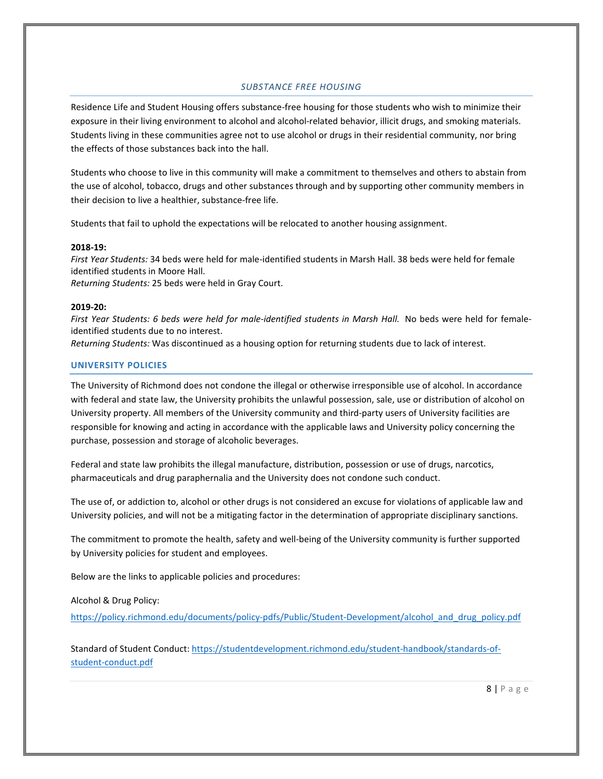## *SUBSTANCE FREE HOUSING*

Residence Life and Student Housing offers substance-free housing for those students who wish to minimize their exposure in their living environment to alcohol and alcohol-related behavior, illicit drugs, and smoking materials. Students living in these communities agree not to use alcohol or drugs in their residential community, nor bring the effects of those substances back into the hall.

Students who choose to live in this community will make a commitment to themselves and others to abstain from the use of alcohol, tobacco, drugs and other substances through and by supporting other community members in their decision to live a healthier, substance-free life.

Students that fail to uphold the expectations will be relocated to another housing assignment.

#### **2018-19:**

*First Year Students:* 34 beds were held for male-identified students in Marsh Hall. 38 beds were held for female identified students in Moore Hall.

*Returning Students:* 25 beds were held in Gray Court.

#### **2019-20:**

*First Year Students: 6 beds were held for male-identified students in Marsh Hall.* No beds were held for femaleidentified students due to no interest.

*Returning Students:* Was discontinued as a housing option for returning students due to lack of interest.

#### **UNIVERSITY POLICIES**

The University of Richmond does not condone the illegal or otherwise irresponsible use of alcohol. In accordance with federal and state law, the University prohibits the unlawful possession, sale, use or distribution of alcohol on University property. All members of the University community and third-party users of University facilities are responsible for knowing and acting in accordance with the applicable laws and University policy concerning the purchase, possession and storage of alcoholic beverages.

Federal and state law prohibits the illegal manufacture, distribution, possession or use of drugs, narcotics, pharmaceuticals and drug paraphernalia and the University does not condone such conduct.

The use of, or addiction to, alcohol or other drugs is not considered an excuse for violations of applicable law and University policies, and will not be a mitigating factor in the determination of appropriate disciplinary sanctions.

The commitment to promote the health, safety and well-being of the University community is further supported by University policies for student and employees.

Below are the links to applicable policies and procedures:

Alcohol & Drug Policy:

[https://policy.richmond.edu/documents/policy-pdfs/Public/Student-Development/alcohol\\_and\\_drug\\_policy.pdf](https://policy.richmond.edu/documents/policy-pdfs/Public/Student-Development/alcohol_and_drug_policy.pdf)

Standard of Student Conduct: [https://studentdevelopment.richmond.edu/student-handbook/standards-of](https://studentdevelopment.richmond.edu/student-handbook/standards-of-student-conduct.pdf)[student-conduct.pdf](https://studentdevelopment.richmond.edu/student-handbook/standards-of-student-conduct.pdf)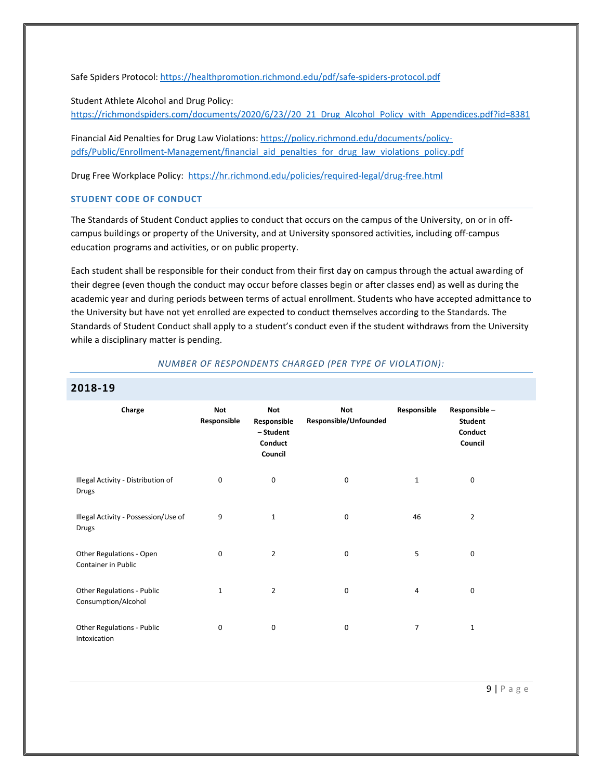Safe Spiders Protocol:<https://healthpromotion.richmond.edu/pdf/safe-spiders-protocol.pdf>

Student Athlete Alcohol and Drug Policy: [https://richmondspiders.com/documents/2020/6/23//20\\_21\\_Drug\\_Alcohol\\_Policy\\_with\\_Appendices.pdf?id=8381](https://richmondspiders.com/documents/2020/6/23/20_21_Drug_Alcohol_Policy_with_Appendices.pdf?id=8381)

Financial Aid Penalties for Drug Law Violations[: https://policy.richmond.edu/documents/policy](https://policy.richmond.edu/documents/policy-pdfs/Public/Enrollment-Management/financial_aid_penalties_for_drug_law_violations_policy.pdf)[pdfs/Public/Enrollment-Management/financial\\_aid\\_penalties\\_for\\_drug\\_law\\_violations\\_policy.pdf](https://policy.richmond.edu/documents/policy-pdfs/Public/Enrollment-Management/financial_aid_penalties_for_drug_law_violations_policy.pdf)

Drug Free Workplace Policy: <https://hr.richmond.edu/policies/required-legal/drug-free.html>

#### **STUDENT CODE OF CONDUCT**

The Standards of Student Conduct applies to conduct that occurs on the campus of the University, on or in offcampus buildings or property of the University, and at University sponsored activities, including off-campus education programs and activities, or on public property.

Each student shall be responsible for their conduct from their first day on campus through the actual awarding of their degree (even though the conduct may occur before classes begin or after classes end) as well as during the academic year and during periods between terms of actual enrollment. Students who have accepted admittance to the University but have not yet enrolled are expected to conduct themselves according to the Standards. The Standards of Student Conduct shall apply to a student's conduct even if the student withdraws from the University while a disciplinary matter is pending.

#### *NUMBER OF RESPONDENTS CHARGED (PER TYPE OF VIOLATION):*

| Charge                                                 | <b>Not</b>   | <b>Not</b>                                     | <b>Not</b>            | Responsible    | Responsible-                         |  |
|--------------------------------------------------------|--------------|------------------------------------------------|-----------------------|----------------|--------------------------------------|--|
|                                                        | Responsible  | Responsible<br>- Student<br>Conduct<br>Council | Responsible/Unfounded |                | <b>Student</b><br>Conduct<br>Council |  |
| Illegal Activity - Distribution of<br>Drugs            | 0            | 0                                              | 0                     | 1              | 0                                    |  |
| Illegal Activity - Possession/Use of<br>Drugs          | 9            | 1                                              | 0                     | 46             | $\overline{2}$                       |  |
| Other Regulations - Open<br><b>Container in Public</b> | 0            | $\overline{2}$                                 | 0                     | 5              | 0                                    |  |
| Other Regulations - Public<br>Consumption/Alcohol      | $\mathbf{1}$ | $\overline{2}$                                 | 0                     | $\overline{4}$ | $\mathbf 0$                          |  |
| Other Regulations - Public<br>Intoxication             | 0            | $\mathbf 0$                                    | 0                     | 7              | 1                                    |  |

## **2018-19**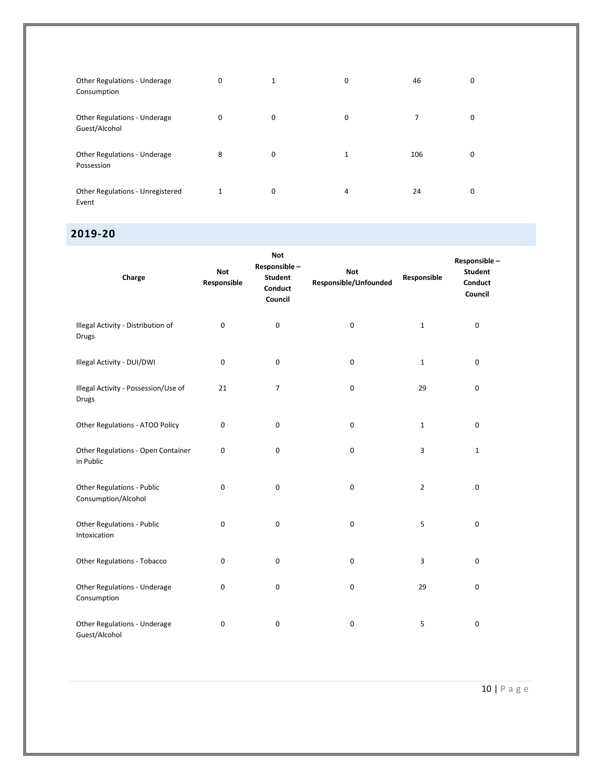| Other Regulations - Underage<br>Consumption   | 0        | 1 | 0            | 46  | 0 |
|-----------------------------------------------|----------|---|--------------|-----|---|
| Other Regulations - Underage<br>Guest/Alcohol | $\Omega$ | 0 | 0            |     |   |
| Other Regulations - Underage<br>Possession    | 8        | 0 | $\mathbf{1}$ | 106 | 0 |
| Other Regulations - Unregistered<br>Event     |          | 0 | 4            | 24  | 0 |

## **2019-20**

| Charge                                             | <b>Not</b><br>Responsible | <b>Not</b><br>Responsible-<br><b>Student</b><br>Conduct<br>Council | <b>Not</b><br>Responsible/Unfounded | Responsible    | Responsible-<br><b>Student</b><br>Conduct<br>Council |
|----------------------------------------------------|---------------------------|--------------------------------------------------------------------|-------------------------------------|----------------|------------------------------------------------------|
| Illegal Activity - Distribution of<br><b>Drugs</b> | 0                         | $\pmb{0}$                                                          | $\pmb{0}$                           | $\mathbf{1}$   | $\pmb{0}$                                            |
| Illegal Activity - DUI/DWI                         | 0                         | 0                                                                  | $\mathbf 0$                         | $\mathbf{1}$   | 0                                                    |
| Illegal Activity - Possession/Use of<br>Drugs      | 21                        | 7                                                                  | $\mathbf 0$                         | 29             | $\pmb{0}$                                            |
| Other Regulations - ATOD Policy                    | 0                         | 0                                                                  | $\mathbf 0$                         | $\mathbf{1}$   | $\pmb{0}$                                            |
| Other Regulations - Open Container<br>in Public    | 0                         | 0                                                                  | $\mathbf 0$                         | 3              | $\mathbf 1$                                          |
| Other Regulations - Public<br>Consumption/Alcohol  | 0                         | 0                                                                  | 0                                   | $\overline{2}$ | $\pmb{0}$                                            |
| Other Regulations - Public<br>Intoxication         | 0                         | $\mathsf 0$                                                        | $\mathbf 0$                         | 5              | $\pmb{0}$                                            |
| Other Regulations - Tobacco                        | 0                         | 0                                                                  | 0                                   | 3              | $\pmb{0}$                                            |
| Other Regulations - Underage<br>Consumption        | 0                         | 0                                                                  | 0                                   | 29             | $\pmb{0}$                                            |
| Other Regulations - Underage<br>Guest/Alcohol      | 0                         | 0                                                                  | $\pmb{0}$                           | 5              | 0                                                    |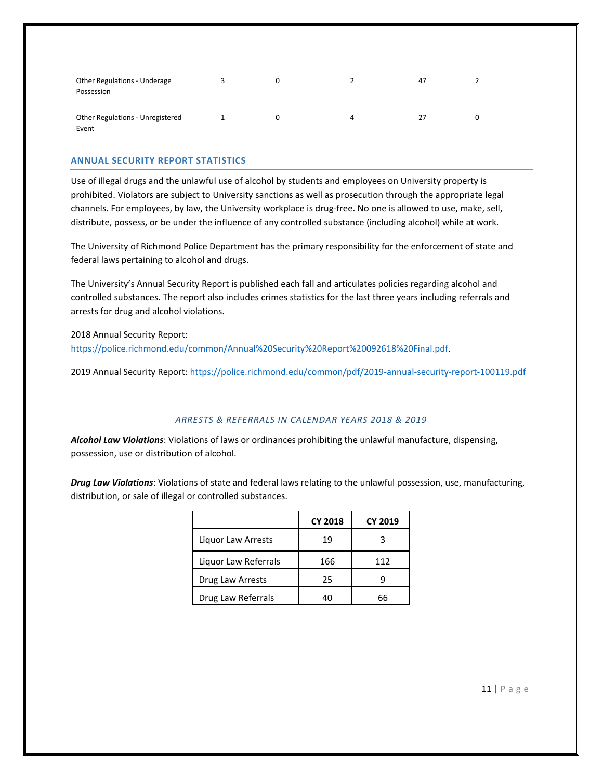| Other Regulations - Underage<br>Possession |  |   | 47 |  |
|--------------------------------------------|--|---|----|--|
| Other Regulations - Unregistered<br>Event  |  | 4 |    |  |

#### **ANNUAL SECURITY REPORT STATISTICS**

Use of illegal drugs and the unlawful use of alcohol by students and employees on University property is prohibited. Violators are subject to University sanctions as well as prosecution through the appropriate legal channels. For employees, by law, the University workplace is drug-free. No one is allowed to use, make, sell, distribute, possess, or be under the influence of any controlled substance (including alcohol) while at work.

The University of Richmond Police Department has the primary responsibility for the enforcement of state and federal laws pertaining to alcohol and drugs.

The University's Annual Security Report is published each fall and articulates policies regarding alcohol and controlled substances. The report also includes crimes statistics for the last three years including referrals and arrests for drug and alcohol violations.

2018 Annual Security Report:

[https://police.richmond.edu/common/Annual%20Security%20Report%20092618%20Final.pdf.](https://police.richmond.edu/common/Annual%20Security%20Report%20092618%20Final.pdf)

2019 Annual Security Report:<https://police.richmond.edu/common/pdf/2019-annual-security-report-100119.pdf>

#### *ARRESTS & REFERRALS IN CALENDAR YEARS 2018 & 2019*

*Alcohol Law Violations*: Violations of laws or ordinances prohibiting the unlawful manufacture, dispensing, possession, use or distribution of alcohol.

*Drug Law Violations*: Violations of state and federal laws relating to the unlawful possession, use, manufacturing, distribution, or sale of illegal or controlled substances.

|                      | <b>CY 2018</b> | <b>CY 2019</b> |
|----------------------|----------------|----------------|
| Liquor Law Arrests   | 19             |                |
| Liquor Law Referrals | 166            | 112            |
| Drug Law Arrests     | 25             |                |
| Drug Law Referrals   | 40             | 6ь             |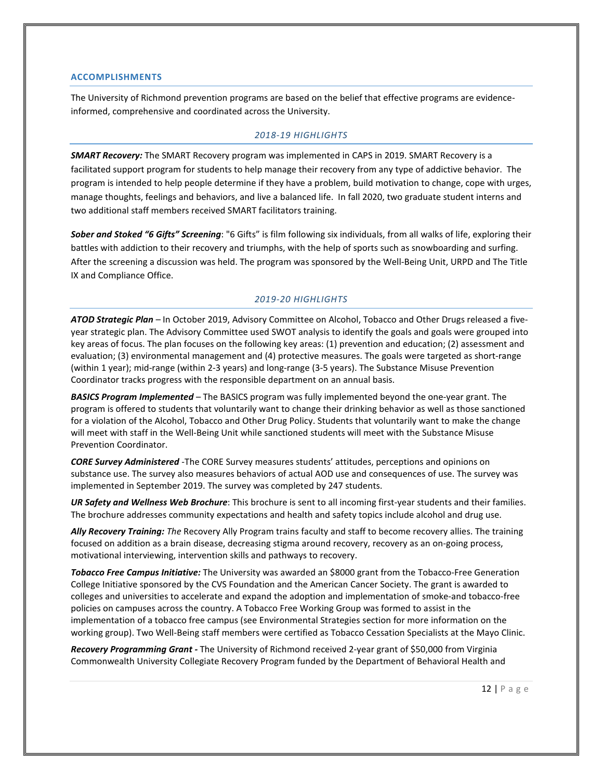#### **ACCOMPLISHMENTS**

The University of Richmond prevention programs are based on the belief that effective programs are evidenceinformed, comprehensive and coordinated across the University.

#### *2018-19 HIGHLIGHTS*

*SMART Recovery:* The SMART Recovery program was implemented in CAPS in 2019. SMART Recovery is a facilitated support program for students to help manage their recovery from any type of addictive behavior. The program is intended to help people determine if they have a problem, build motivation to change, cope with urges, manage thoughts, feelings and behaviors, and live a balanced life. In fall 2020, two graduate student interns and two additional staff members received SMART facilitators training.

*Sober and Stoked "6 Gifts" Screening*: "6 Gifts" is film following six individuals, from all walks of life, exploring their battles with addiction to their recovery and triumphs, with the help of sports such as snowboarding and surfing. After the screening a discussion was held. The program was sponsored by the Well-Being Unit, URPD and The Title IX and Compliance Office.

#### *2019-20 HIGHLIGHTS*

*ATOD Strategic Plan –* In October 2019, Advisory Committee on Alcohol, Tobacco and Other Drugs released a fiveyear strategic plan. The Advisory Committee used SWOT analysis to identify the goals and goals were grouped into key areas of focus. The plan focuses on the following key areas: (1) prevention and education; (2) assessment and evaluation; (3) environmental management and (4) protective measures. The goals were targeted as short-range (within 1 year); mid-range (within 2-3 years) and long-range (3-5 years). The Substance Misuse Prevention Coordinator tracks progress with the responsible department on an annual basis.

*BASICS Program Implemented* – The BASICS program was fully implemented beyond the one-year grant. The program is offered to students that voluntarily want to change their drinking behavior as well as those sanctioned for a violation of the Alcohol, Tobacco and Other Drug Policy. Students that voluntarily want to make the change will meet with staff in the Well-Being Unit while sanctioned students will meet with the Substance Misuse Prevention Coordinator.

*CORE Survey Administered* -The CORE Survey measures students' attitudes, perceptions and opinions on substance use. The survey also measures behaviors of actual AOD use and consequences of use. The survey was implemented in September 2019. The survey was completed by 247 students.

*UR Safety and Wellness Web Brochure*: This brochure is sent to all incoming first-year students and their families. The brochure addresses community expectations and health and safety topics include alcohol and drug use.

*Ally Recovery Training: The* Recovery Ally Program trains faculty and staff to become recovery allies. The training focused on addition as a brain disease, decreasing stigma around recovery, recovery as an on-going process, motivational interviewing, intervention skills and pathways to recovery.

*Tobacco Free Campus Initiative:* The University was awarded an \$8000 grant from the Tobacco-Free Generation College Initiative sponsored by the CVS Foundation and the American Cancer Society. The grant is awarded to colleges and universities to accelerate and expand the adoption and implementation of smoke-and tobacco-free policies on campuses across the country. A Tobacco Free Working Group was formed to assist in the implementation of a tobacco free campus (see Environmental Strategies section for more information on the working group). Two Well-Being staff members were certified as Tobacco Cessation Specialists at the Mayo Clinic.

*Recovery Programming Grant -* The University of Richmond received 2-year grant of \$50,000 from Virginia Commonwealth University Collegiate Recovery Program funded by the Department of Behavioral Health and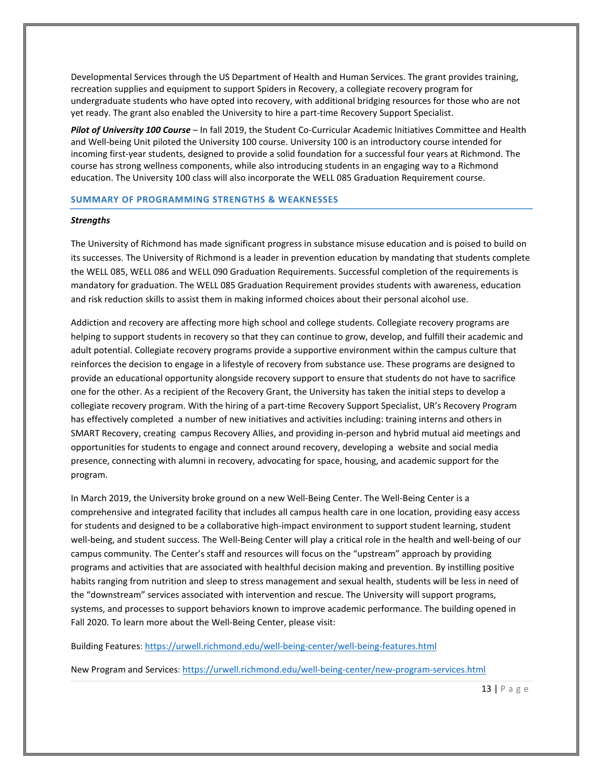Developmental Services through the US Department of Health and Human Services. The grant provides training, recreation supplies and equipment to support Spiders in Recovery, a collegiate recovery program for undergraduate students who have opted into recovery, with additional bridging resources for those who are not yet ready. The grant also enabled the University to hire a part-time Recovery Support Specialist.

*Pilot of University 100 Course* – In fall 2019, the Student Co-Curricular Academic Initiatives Committee and Health and Well-being Unit piloted the University 100 course. University 100 is an introductory course intended for incoming first-year students, designed to provide a solid foundation for a successful four years at Richmond. The course has strong wellness components, while also introducing students in an engaging way to a Richmond education. The University 100 class will also incorporate the WELL 085 Graduation Requirement course.

#### **SUMMARY OF PROGRAMMING STRENGTHS & WEAKNESSES**

#### *Strengths*

The University of Richmond has made significant progress in substance misuse education and is poised to build on its successes. The University of Richmond is a leader in prevention education by mandating that students complete the WELL 085, WELL 086 and WELL 090 Graduation Requirements. Successful completion of the requirements is mandatory for graduation. The WELL 085 Graduation Requirement provides students with awareness, education and risk reduction skills to assist them in making informed choices about their personal alcohol use.

Addiction and recovery are affecting more high school and college students. Collegiate recovery programs are helping to support students in recovery so that they can continue to grow, develop, and fulfill their academic and adult potential. Collegiate recovery programs provide a supportive environment within the campus culture that reinforces the decision to engage in a lifestyle of recovery from substance use. These programs are designed to provide an educational opportunity alongside recovery support to ensure that students do not have to sacrifice one for the other. As a recipient of the Recovery Grant, the University has taken the initial steps to develop a collegiate recovery program. With the hiring of a part-time Recovery Support Specialist, UR's Recovery Program has effectively completed a number of new initiatives and activities including: training interns and others in SMART Recovery, creating campus Recovery Allies, and providing in-person and hybrid mutual aid meetings and opportunities for students to engage and connect around recovery, developing a website and social media presence, connecting with alumni in recovery, advocating for space, housing, and academic support for the program.

In March 2019, the University broke ground on a new Well-Being Center. The Well-Being Center is a comprehensive and integrated facility that includes all campus health care in one location, providing easy access for students and designed to be a collaborative high-impact environment to support student learning, student well-being, and student success. The Well-Being Center will play a critical role in the health and well-being of our campus community. The Center's staff and resources will focus on the "upstream" approach by providing programs and activities that are associated with healthful decision making and prevention. By instilling positive habits ranging from nutrition and sleep to stress management and sexual health, students will be less in need of the "downstream" services associated with intervention and rescue. The University will support programs, systems, and processes to support behaviors known to improve academic performance. The building opened in Fall 2020. To learn more about the Well-Being Center, please visit:

Building Features:<https://urwell.richmond.edu/well-being-center/well-being-features.html>

New Program and Services[: https://urwell.richmond.edu/well-being-center/new-program-services.html](https://urwell.richmond.edu/well-being-center/new-program-services.html)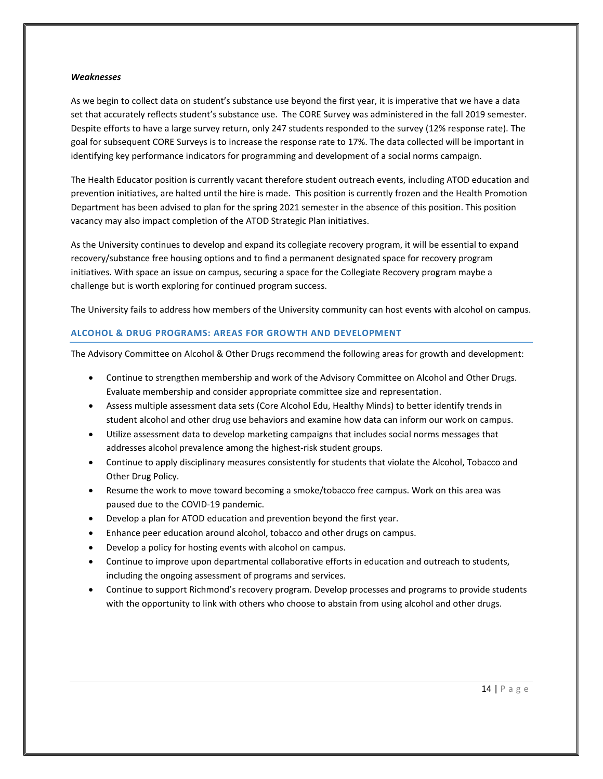#### *Weaknesses*

As we begin to collect data on student's substance use beyond the first year, it is imperative that we have a data set that accurately reflects student's substance use. The CORE Survey was administered in the fall 2019 semester. Despite efforts to have a large survey return, only 247 students responded to the survey (12% response rate). The goal for subsequent CORE Surveys is to increase the response rate to 17%. The data collected will be important in identifying key performance indicators for programming and development of a social norms campaign.

The Health Educator position is currently vacant therefore student outreach events, including ATOD education and prevention initiatives, are halted until the hire is made. This position is currently frozen and the Health Promotion Department has been advised to plan for the spring 2021 semester in the absence of this position. This position vacancy may also impact completion of the ATOD Strategic Plan initiatives.

As the University continues to develop and expand its collegiate recovery program, it will be essential to expand recovery/substance free housing options and to find a permanent designated space for recovery program initiatives. With space an issue on campus, securing a space for the Collegiate Recovery program maybe a challenge but is worth exploring for continued program success.

The University fails to address how members of the University community can host events with alcohol on campus.

#### **ALCOHOL & DRUG PROGRAMS: AREAS FOR GROWTH AND DEVELOPMENT**

The Advisory Committee on Alcohol & Other Drugs recommend the following areas for growth and development:

- Continue to strengthen membership and work of the Advisory Committee on Alcohol and Other Drugs. Evaluate membership and consider appropriate committee size and representation.
- Assess multiple assessment data sets (Core Alcohol Edu, Healthy Minds) to better identify trends in student alcohol and other drug use behaviors and examine how data can inform our work on campus.
- Utilize assessment data to develop marketing campaigns that includes social norms messages that addresses alcohol prevalence among the highest-risk student groups.
- Continue to apply disciplinary measures consistently for students that violate the Alcohol, Tobacco and Other Drug Policy.
- Resume the work to move toward becoming a smoke/tobacco free campus. Work on this area was paused due to the COVID-19 pandemic.
- Develop a plan for ATOD education and prevention beyond the first year.
- Enhance peer education around alcohol, tobacco and other drugs on campus.
- Develop a policy for hosting events with alcohol on campus.
- Continue to improve upon departmental collaborative efforts in education and outreach to students, including the ongoing assessment of programs and services.
- Continue to support Richmond's recovery program. Develop processes and programs to provide students with the opportunity to link with others who choose to abstain from using alcohol and other drugs.